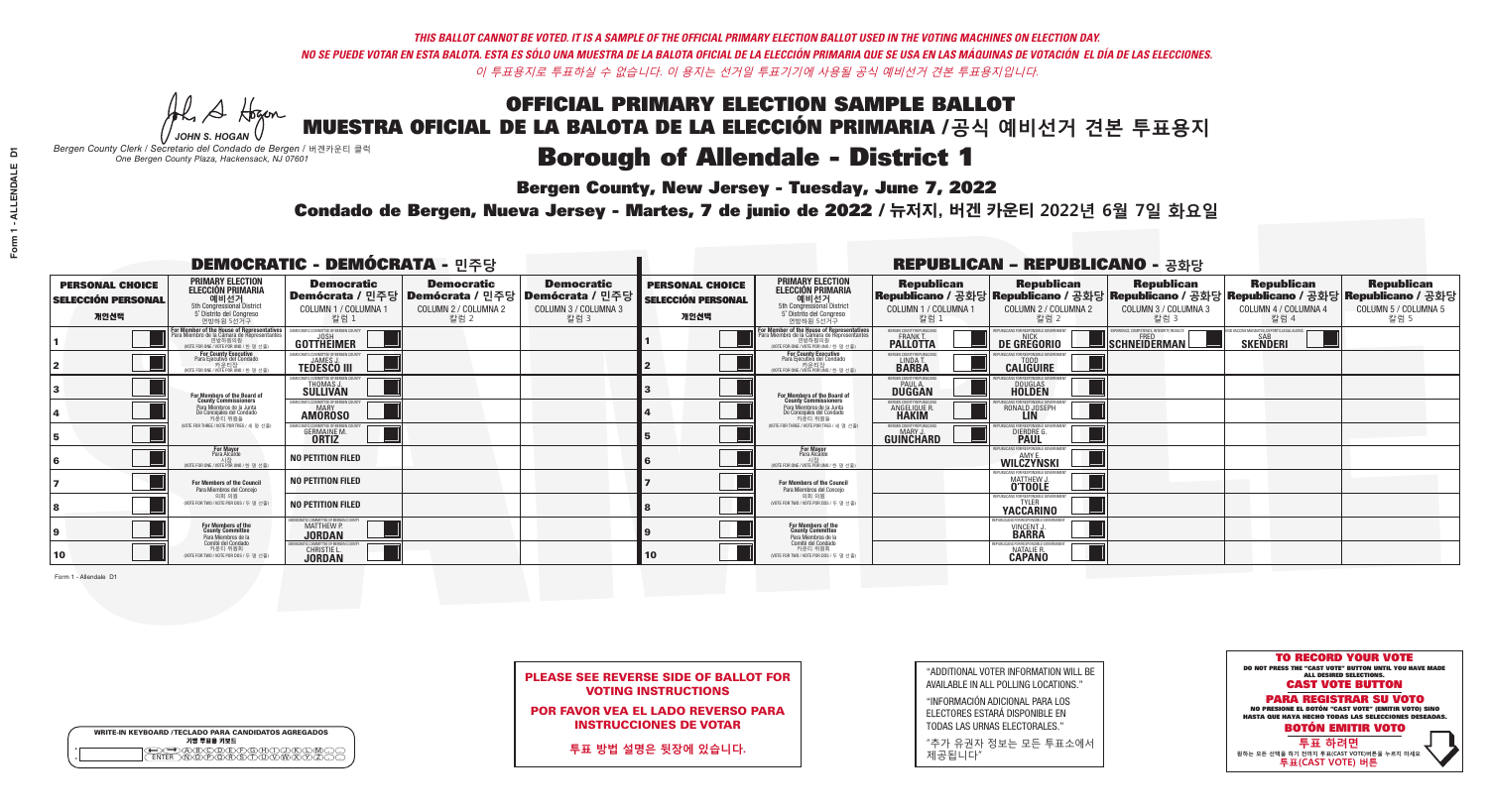**Bergen County, New Jersey - Tuesday, June 7, 2022** 

A Hogan *JOHN S. HOGAN*

| <b>WRITE-IN KEYBOARD /TECLADO PARA CANDIDATOS AGREGADOS</b><br>기명 투표용 키보드 |  |
|---------------------------------------------------------------------------|--|
| A®©®®®®®©©®<br>™®®®®®©™™®®                                                |  |

*Bergen County Clerk / Secretario del Condado de Bergen /* 버겐카운티 클럭 *One Bergen County Plaza, Hackensack, NJ 07601*



PLEASE SEE REVERSE SIDE OF BALLOT FOR VOTING INSTRUCTIONS

POR FAVOR VEA EL LADO REVERSO PARA INSTRUCCIONES DE VOTAR

**투표 방법 설명은 뒷장에 있습니다.**

| "ADDITIONAL VOTER INFORMATION WILL BE |
|---------------------------------------|
| AVAILABLE IN ALL POLLING LOCATIONS."  |

"INFORMACIÓN ADICIONAL PARA LOS ELECTORES ESTARÁ DISPONIBLE EN TODAS LAS URNAS ELECTORALES."

"추가 유권자 정보는 모든 투표소에서 제공됩니다"

Condado de Bergen, Nueva Jersey - Martes, 7 de junio de 2022 / 뉴저지, 버겐 카운티 2022년 6월 7일 화요일 *One Bergen County Plaza, Hackensack, NJ 07601*

| <b>DEMOCRATIC - DEMÓCRATA - 민주당</b>                         |                                                                                                                                                     |                                                                                    |                                                   |                                                                                                        |                                                             |                                                                                                                                                       |                                                              | <b>REPUBLICAN - REPUBLICANO - 공화당</b>                            |                                                                                                                                                |                                                   |                                                   |
|-------------------------------------------------------------|-----------------------------------------------------------------------------------------------------------------------------------------------------|------------------------------------------------------------------------------------|---------------------------------------------------|--------------------------------------------------------------------------------------------------------|-------------------------------------------------------------|-------------------------------------------------------------------------------------------------------------------------------------------------------|--------------------------------------------------------------|------------------------------------------------------------------|------------------------------------------------------------------------------------------------------------------------------------------------|---------------------------------------------------|---------------------------------------------------|
| <b>PERSONAL CHOICE</b><br><b>SELECCIÓN PERSONAL</b><br>개인선택 | <b>PRIMARY ELECTION</b><br><b>ELECCIÓN PRIMARIA</b><br>예비선거<br>5th Congressional District<br>5° Distrito del Congreso<br>연방하원 5선거구                  | <b>Democratic</b><br>COLUMN 1 / COLUMNA 1<br>칼럼 1                                  | <b>Democratic</b><br>COLUMN 2 / COLUMNA 2<br>칼럼 2 | <b>Democratic</b><br>│Demócrata / 민주당│Demócrata / 민주당│Demócrata / 민주당│<br>COLUMN 3 / COLUMNA 3<br>칼럼 3 | <b>PERSONAL CHOICE</b><br><b>SELECCIÓN PERSONAL</b><br>개인선택 | <b>PRIMARY ELECTION</b><br><b>ELECCIÓN PRIMARIA</b><br>5th Congressional District<br>5° Distrito del Congreso<br>연방하원 5선거구                            | <b>Republican</b><br>COLUMN 1 / COLUMNA 1<br>칼럼 1            | <b>Republican</b><br>COLUMN 2 / COLUMNA 2<br>칼럼 2                | <b>Republican</b><br>Republicano / 공화당 Republicano / 공화당 Republicano / 공화당 Republicano / 공화당 Republicano / 공화당<br>COLUMN 3 / COLUMNA 3<br>칼럼 3 | <b>Republican</b><br>COLUMN 4 / COLUMNA 4<br>칼럼 4 | <b>Republican</b><br>COLUMN 5 / COLUMNA 5<br>칼럼 5 |
|                                                             | <b>In Member of the House of Representatives<br/>Ira Miembro de la Cámara de Representantes</b><br>연방하원의원<br>(VOTE FOR ONE / VOTE POR UNO / 한 명 선출) | GOTTHEIMER                                                                         |                                                   |                                                                                                        |                                                             | <b>For Member of the House of Representatives<br/>Para Miembro de la Cámara de Representantes</b><br>연방하원의원<br>(VOTE FOR ONE / VOTE POR UNO / 한 명 선출) | BERGEN COUNTY REPUBLICANS<br><b>PALLOTTA</b>                 | DE GREGORIO                                                      | SCHNEIDERMAN                                                                                                                                   | <b>SKENDERI</b>                                   |                                                   |
|                                                             | For County Executive<br>Para Ejecutivo del Condado<br>7 카운티장<br>(VOTE FOR ONE / VOTE POR UNO / 한 명 선출)                                              | )EMOCRATIC COMMITTEE OF BERGEN COUNTY<br><b>TEDESCO III</b>                        |                                                   |                                                                                                        |                                                             | For County Executive<br>Para Ejecutivo del Condado<br>7 카운티장<br>(VOTE FOR ONE / VOTE POR UNO / 한 명 선출)                                                | BERGEN COUNTY REPUBLICAN:<br>LINDA T.                        | <b>CALIGUIRE</b>                                                 |                                                                                                                                                |                                                   |                                                   |
|                                                             | <b>For Members of the Board of<br/>County Commissioners</b>                                                                                         | <b>EMOCRATIC COMMITTEE OF BERGEN COUNTY</b><br><b>THOMAS J.</b><br><b>SULLIVAN</b> |                                                   |                                                                                                        |                                                             | For Members of the Board of<br>County Commissioners                                                                                                   | BERGEN COUNTY REPUBLICAN!<br>PAUL A.<br>DUGGAN               | <b>DOUGLAS</b>                                                   |                                                                                                                                                |                                                   |                                                   |
|                                                             | Para Miembros de la Junta<br>De Concejales del Condado<br>카우티 위원들                                                                                   | )CRATIC COMMITTEE OF BERGEN COUNT<br>MARY<br><b>AMOROSO</b>                        |                                                   |                                                                                                        |                                                             | Para Miembros de la Junta<br>De Concejales del Condado<br>카운티 위원들                                                                                     | RGEN COUNTY REPUBLICAN<br><b>ANGELIQUE R</b><br><b>HAKIM</b> | RONALD JOSEPH                                                    |                                                                                                                                                |                                                   |                                                   |
|                                                             | NOTE FOR THREE / VOTE POR TRES / 세 명 선출)                                                                                                            | GERMAINE M.                                                                        |                                                   |                                                                                                        |                                                             | NOTE FOR THREE / VOTE POR TRES / 세 명 선출                                                                                                               | ERGEN COUNTY REPUBLICAN:<br>GUIÑCHARD                        | DIERDRE G                                                        |                                                                                                                                                |                                                   |                                                   |
|                                                             | For Mayor<br>Para Alcalde<br>시장<br>(VOTE FOR ONE / VOTE POR UNO / 한 명 선                                                                             | NO PETITION FILED                                                                  |                                                   |                                                                                                        |                                                             | <b>For Mayor</b><br>Para Alcalde<br>시장<br>(VOTE FOR ONE / VOTE POR UNO / 한 명 선출)                                                                      |                                                              | PHRI ICANS ENR RESPONSIRI E GOVERNMEN<br>WILCZYNSKI              |                                                                                                                                                |                                                   |                                                   |
|                                                             | For Members of the Council<br>Para Miembros del Concejo                                                                                             | <b>NO PETITION FILED</b>                                                           |                                                   |                                                                                                        |                                                             | For Members of the Council<br>Para Miembros del Concejo                                                                                               |                                                              | PHRI ICANS ENR RESPONSIRI E GOV<br>MATTHEW J.                    |                                                                                                                                                |                                                   |                                                   |
|                                                             | 의회 의원<br>(VOTE FOR TWO / VOTE POR DOS / 두 명 선출)                                                                                                     | <b>NO PETITION FILED</b>                                                           |                                                   |                                                                                                        |                                                             | 의회 의원<br>(VOTE FOR TWO / VOTE POR DOS / 두 명 선출)                                                                                                       |                                                              | REPUBLICANS FOR RESPONSIBLE G<br><b>YACCARINO</b>                |                                                                                                                                                |                                                   |                                                   |
|                                                             | For Members of the<br>County Committee<br>Para Miembros de la                                                                                       | CRATIC COMMITTEE OF BERGEN COUNTY<br><b>MATTHEW P.</b><br><b>JORDAN</b>            |                                                   |                                                                                                        |                                                             | For Members of the<br>County Committee<br>Para Miembros de la<br>Comité del Condado                                                                   |                                                              | PUBLICANS FOR RESPONSIBLE G<br><b>VINCENT J.</b><br><b>BARRA</b> |                                                                                                                                                |                                                   |                                                   |
| 10                                                          | Comité del Condado<br>카운티 위원회<br>(VOTE FOR TWO / VOTE POR DOS / 두 명 선출)                                                                             | EMOCRATIC COMMITTEE OF RERGEN CO<br>CHRISTIE L.<br><b>JORDAN</b>                   |                                                   |                                                                                                        | 10                                                          | 카운티 위원회<br>(VOTE FOR TWO / VOTE POR DOS / 두 명 선출)                                                                                                     |                                                              | NATALIE R.<br><b>CAPANO</b>                                      |                                                                                                                                                |                                                   |                                                   |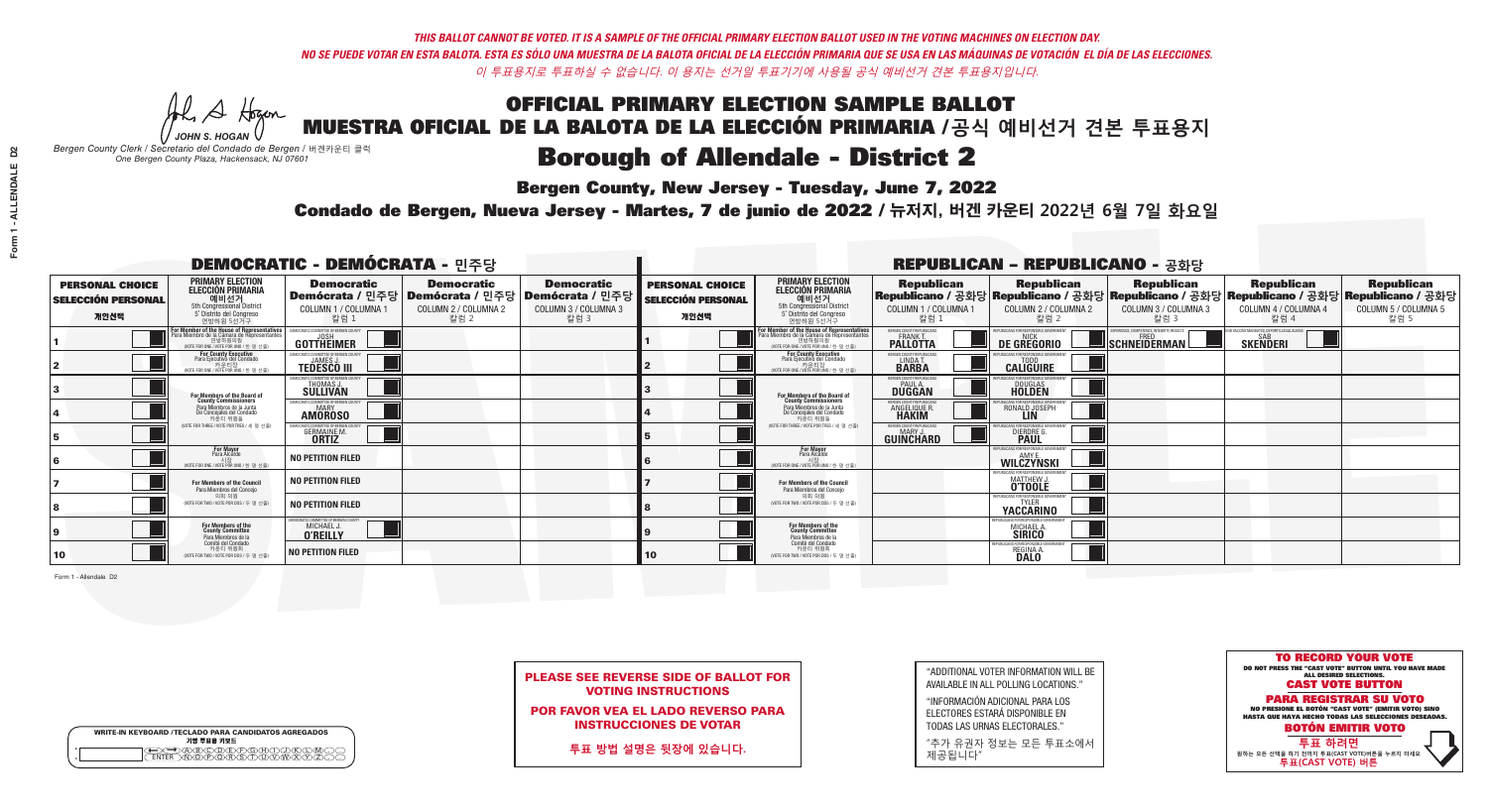**Bergen County, New Jersey - Tuesday, June 7, 2022** 

A Hogan *JOHN S. HOGAN*

| <b>WRITE-IN KEYBOARD /TECLADO PARA CANDIDATOS AGREGADOS</b><br>기명 투표용 키보드 |
|---------------------------------------------------------------------------|
| >ABODE\F\G\AA<br><b>ዂዀዀዀዂጜ፝</b> ዂ፝                                        |

*Bergen County Clerk / Secretario del Condado de Bergen /* 버겐카운티 클럭 *One Bergen County Plaza, Hackensack, NJ 07601*

Condado de Bergen, Nueva Jersey - Martes, 7 de junio de 2022 / 뉴저지, 버겐 카운티 2022년 6월 7일 화요일 *One Bergen County Plaza, Hackensack, NJ 07601*



PLEASE SEE REVERSE SIDE OF BALLOT FOR VOTING INSTRUCTIONS

POR FAVOR VEA EL LADO REVERSO PARA INSTRUCCIONES DE VOTAR

**투표 방법 설명은 뒷장에 있습니다.**

| "ADDITIONAL VOTER INFORMATION WILL BE |
|---------------------------------------|
| AVAILABLE IN ALL POLLING LOCATIONS."  |

"INFORMACIÓN ADICIONAL PARA LOS ELECTORES ESTARÁ DISPONIBLE EN TODAS LAS URNAS ELECTORALES."

"추가 유권자 정보는 모든 투표소에서 제공됩니다"

| <b>DEMOCRATIC - DEMÓCRATA - 민주당</b>                         |                                                                                                                                                   |                                                                            |                                                   |                                                                                                        |                                                             |                                                                                                                                               |                                                                | <b>REPUBLICAN - REPUBLICANO - 공화당</b>                     |                                                                                                                                                  |                                                   |                                                   |
|-------------------------------------------------------------|---------------------------------------------------------------------------------------------------------------------------------------------------|----------------------------------------------------------------------------|---------------------------------------------------|--------------------------------------------------------------------------------------------------------|-------------------------------------------------------------|-----------------------------------------------------------------------------------------------------------------------------------------------|----------------------------------------------------------------|-----------------------------------------------------------|--------------------------------------------------------------------------------------------------------------------------------------------------|---------------------------------------------------|---------------------------------------------------|
| <b>PERSONAL CHOICE</b><br><b>SELECCIÓN PERSONAL</b><br>개인선택 | <b>PRIMARY ELECTION<br/>ELECCIÓN PRIMARIA<br/>에비선거</b><br>5th Congressional District<br>5° Distrito del Congreso<br>연방하원 5선거구                     | <b>Democratic</b><br>COLUMN 1 / COLUMNA 1<br>칼럼 1                          | <b>Democratic</b><br>COLUMN 2 / COLUMNA 2<br>칼럼 2 | <b>Democratic</b><br>│Demócrata / 민주당│Demócrata / 민주당│Demócrata / 민주당│<br>COLUMN 3 / COLUMNA 3<br>칼럼 3 | <b>PERSONAL CHOICE</b><br><b>SELECCIÓN PERSONAL</b><br>개인선택 | <b>PRIMARY ELECTION</b><br>ELECCIÓN PRIMARIA<br>예비선거<br>5th Congressional District<br>5° Distrito del Congreso<br>연방하원 5선거구                   | <b>Republican</b><br>COLUMN 1 / COLUMNA 1<br>칼럼 1              | <b>Republican</b><br>COLUMN 2 / COLUMNA 2<br>칼럼 2         | <b>Republican</b><br>│Republicano / 공화당│Republicano / 공화당│Republicano / 공화당│Republicano / 공화당│Republicano / 공화당│<br>COLUMN 3 / COLUMNA 3<br>칼럼 3 | <b>Republican</b><br>COLUMN 4 / COLUMNA 4<br>칼럼 4 | <b>Republican</b><br>COLUMN 5 / COLUMNA 5<br>칼럼 5 |
|                                                             | <b>r Member of the House of Representatives</b><br>ara Miembro de la Cámara de Representantes<br>연방하원의원<br>(VOTE FOR ONE / VOTE POR UNO / 한 명 선출) | GOTTHEIMER                                                                 |                                                   |                                                                                                        |                                                             | For Member of the House of Representatives<br>Para Miembro de la Cámara de Representantes<br>연방하원의원<br>(VOTE FOR ONE / VOTE POR UNO / 한 명 선출) | ERGEN COUNTY REPUBLICANS<br><b>PALLOTTA</b>                    | DE GREGORIO                                               | SCHNEIDERMAN                                                                                                                                     | <b>SKENDERI</b>                                   |                                                   |
|                                                             | <b>For County Executive</b><br>Para Ejecutivo del Condado<br>가운티장<br>(VOTE FOR ONE / VOTE POR UNO / 한 명 선출)                                       | )EMOCRATIC COMMITTEE OF BERGEN COUNTY<br><b>TEDESCO III</b>                |                                                   |                                                                                                        |                                                             | For County Executive<br>Para Ejecutivo del Condado<br>7 카운티장<br>(VOTE FOR ONE / VOTE POR UNO / 한 명 선출                                         | BERGEN COUNTY REPUBLICAN:<br>LINDA T.                          | <b>CALIGUIRE</b>                                          |                                                                                                                                                  |                                                   |                                                   |
|                                                             | <b>For Members of the Board of<br/>County Commissioners</b>                                                                                       | EMOCRATIC COMMITTEE OF BERGEN COUNT<br><b>THOMAS J.</b><br><b>SULLIVAN</b> |                                                   |                                                                                                        |                                                             | For Members of the Board of<br>County Commissioners                                                                                           | ERGEN COUNTY REPUBLICAN:<br><b>PAUL A.</b><br><b>DUGGAN</b>    | <b>DOUGLAS</b>                                            |                                                                                                                                                  |                                                   |                                                   |
|                                                             | Para Miembros de la Junta<br>De Concejales del Condado<br>카우티 위원들                                                                                 | <b>MOCRATIC COMMITTEE OF BERGEN COUNTY</b><br><b>AMOROSO</b>               |                                                   |                                                                                                        |                                                             | Para Miembros de la Junta<br>De Concejales del Condado<br>카운티 위원들                                                                             | ERGEN COUNTY REPUBLICAN:<br><b>ANGELIQUE R</b><br><b>HAKIM</b> | RONALD JOSEPH<br><b>LIN</b>                               |                                                                                                                                                  |                                                   |                                                   |
|                                                             | NOTE FOR THREE / VOTE POR TRES / 세 명 선출)                                                                                                          | GERMAINE M.                                                                |                                                   |                                                                                                        |                                                             | NOTE FOR THREE / VOTE POR TRES / 세 명 선출                                                                                                       | ERGEN COUNTY REPUBLICAN:<br><b>GUINCHARD</b>                   | <b>DIERDRE</b> Q                                          |                                                                                                                                                  |                                                   |                                                   |
|                                                             | For Mayor<br>Para Alcalde<br>NOTE FOR ONE / VOTE POR UNO / 한 명 선결                                                                                 | <b>NO PETITION FILED</b>                                                   |                                                   |                                                                                                        |                                                             | For Mayor<br>Para Alcalde<br>NOTE FOR ONE / VOTE POR UNO / 하 명 ·                                                                              |                                                                | WILCZYNSKI                                                |                                                                                                                                                  |                                                   |                                                   |
|                                                             | For Members of the Council<br>Para Miembros del Conceio                                                                                           | <b>NO PETITION FILED</b>                                                   |                                                   |                                                                                                        |                                                             | For Members of the Council<br>Para Miembros del Concejo                                                                                       |                                                                | IRLICANS FOR RESPONSIRI E GOVE<br>MATTHEW J.              |                                                                                                                                                  |                                                   |                                                   |
|                                                             | 의회 의원<br>(VOTE FOR TWO / VOTE POR DOS / 두 명 선출)                                                                                                   | <b>NO PETITION FILED</b>                                                   |                                                   |                                                                                                        |                                                             | 의회 의원<br>WOTE FOR TWO / VOTE POR DOS / 두 명 선출)                                                                                                |                                                                | REPUBLICANS FOR RESPONSIBLE GOVERNMEN<br><b>YACCARINO</b> |                                                                                                                                                  |                                                   |                                                   |
|                                                             | For Members of the<br>County Committee<br>Para Miembros de la<br>Comité del Condado                                                               | MOCRATIC COMMITTEE OF BERGEN COUNTY<br>MICHAEL J.<br><b>O'REILLY</b>       |                                                   |                                                                                                        |                                                             | For Members of the<br>County Committee<br>Para Miembros de la<br>Comité del Condado                                                           |                                                                | URLICANS FOR RESPONSIBLE GO<br>MICHAEL A.                 |                                                                                                                                                  |                                                   |                                                   |
| 10                                                          | 카운티 위원회<br>(VOTE FOR TWO / VOTE POR DOS / 두 명 선출)                                                                                                 | <b>NO PETITION FILED</b>                                                   |                                                   |                                                                                                        | 10                                                          | 카운티 위원회<br>(VOTE FOR TWO / VOTE POR DOS / 두 명 선출)                                                                                             |                                                                | <b>REGINA A</b><br><b>DALO</b>                            |                                                                                                                                                  |                                                   |                                                   |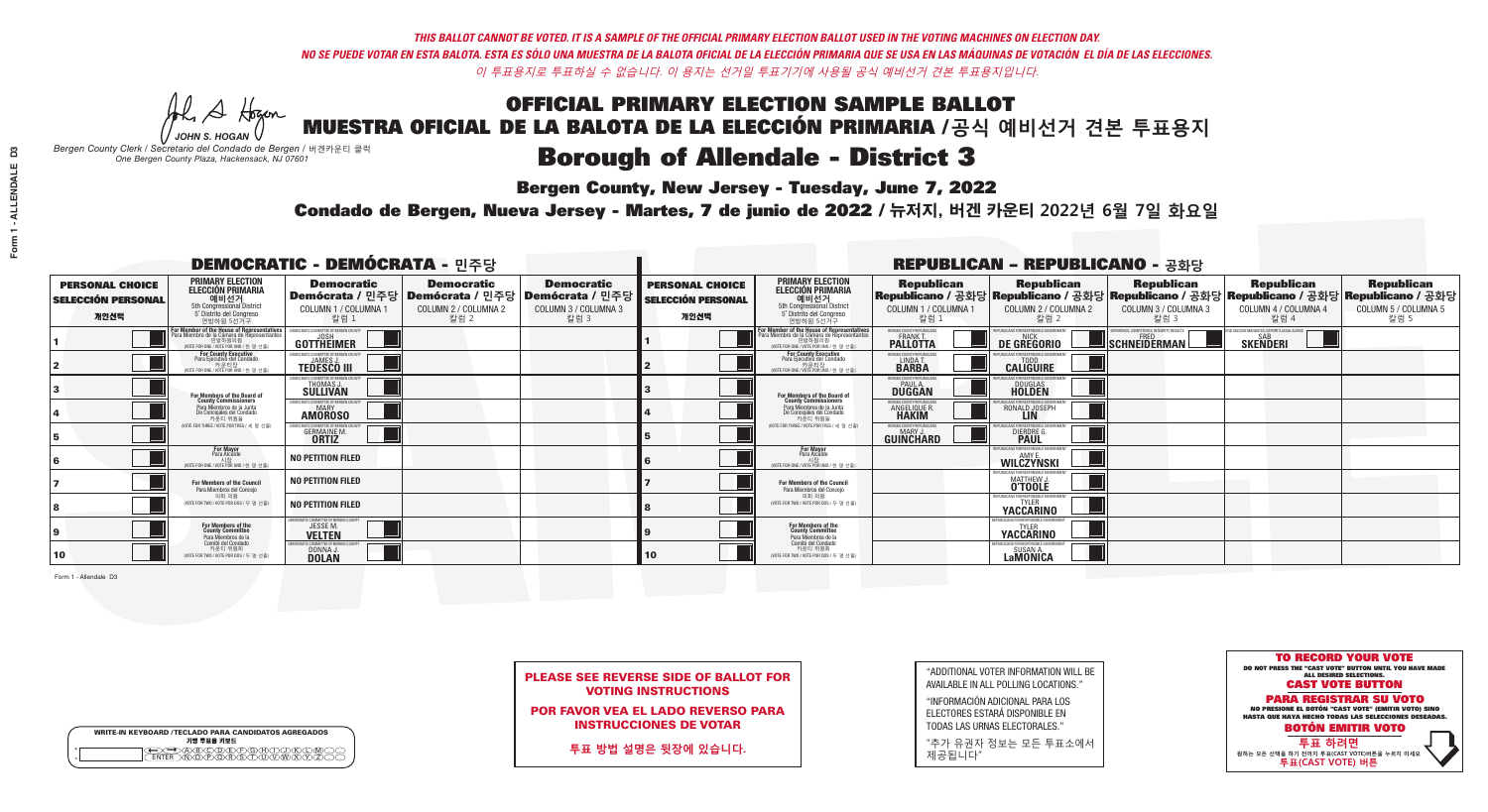**Bergen County, New Jersey - Tuesday, June 7, 2022** 

A Hogan *JOHN S. HOGAN*

| <b>WRITE-IN KEYBOARD /TECLADO PARA CANDIDATOS AGREGADOS</b><br>기명 투표용 키보드 |  |
|---------------------------------------------------------------------------|--|
| @@@@@@@@@@@@<br>\@@@@@@@@@@@@@@<br><b>FNTFR</b>                           |  |

*Bergen County Clerk / Secretario del Condado de Bergen /* 버겐카운티 클럭 *One Bergen County Plaza, Hackensack, NJ 07601*



PLEASE SEE REVERSE SIDE OF BALLOT FOR VOTING INSTRUCTIONS

POR FAVOR VEA EL LADO REVERSO PARA INSTRUCCIONES DE VOTAR

**투표 방법 설명은 뒷장에 있습니다.**

| "ADDITIONAL VOTER INFORMATION WILL BE |
|---------------------------------------|
| AVAILABLE IN ALL POLLING LOCATIONS."  |

"INFORMACIÓN ADICIONAL PARA LOS ELECTORES ESTARÁ DISPONIBLE EN TODAS LAS URNAS ELECTORALES."

"추가 유권자 정보는 모든 투표소에서 제공됩니다"

Condado de Bergen, Nueva Jersey - Martes, 7 de junio de 2022 / 뉴저지, 버겐 카운티 2022년 6월 7일 화요일 *One Bergen County Plaza, Hackensack, NJ 07601*

| <b>DEMOCRATIC - DEMÓCRATA - 민주당</b>                         |                                                                                                                                                     |                                                                                    |                                                   |                                                                                                        |                                                             |                                                                                                                                                       |                                                              | <b>REPUBLICAN - REPUBLICANO - 공화당</b>                                |                                                                                                                                                |                                                   |                                                   |
|-------------------------------------------------------------|-----------------------------------------------------------------------------------------------------------------------------------------------------|------------------------------------------------------------------------------------|---------------------------------------------------|--------------------------------------------------------------------------------------------------------|-------------------------------------------------------------|-------------------------------------------------------------------------------------------------------------------------------------------------------|--------------------------------------------------------------|----------------------------------------------------------------------|------------------------------------------------------------------------------------------------------------------------------------------------|---------------------------------------------------|---------------------------------------------------|
| <b>PERSONAL CHOICE</b><br><b>SELECCIÓN PERSONAL</b><br>개인선택 | <b>PRIMARY ELECTION</b><br><b>ELECCIÓN PRIMARIA</b><br>예비선거<br>5th Congressional District<br>5° Distrito del Congreso<br>연방하원 5선거구                  | <b>Democratic</b><br>COLUMN 1 / COLUMNA 1<br>칼럼 1                                  | <b>Democratic</b><br>COLUMN 2 / COLUMNA 2<br>칼럼 2 | <b>Democratic</b><br>│Demócrata / 민주당│Demócrata / 민주당│Demócrata / 민주당│<br>COLUMN 3 / COLUMNA 3<br>칼럼 3 | <b>PERSONAL CHOICE</b><br><b>SELECCIÓN PERSONAL</b><br>개인선택 | <b>PRIMARY ELECTION</b><br><b>ELECCIÓN PRIMARIA</b><br>5th Congressional District<br>5° Distrito del Congreso<br>연방하원 5선거구                            | <b>Republican</b><br>COLUMN 1 / COLUMNA 1<br>칼럼 1            | <b>Republican</b><br>COLUMN 2 / COLUMNA 2<br>칼럼 2                    | <b>Republican</b><br>Republicano / 공화당 Republicano / 공화당 Republicano / 공화당 Republicano / 공화당 Republicano / 공화당<br>COLUMN 3 / COLUMNA 3<br>칼럼 3 | <b>Republican</b><br>COLUMN 4 / COLUMNA 4<br>칼럼 4 | <b>Republican</b><br>COLUMN 5 / COLUMNA 5<br>칼럼 5 |
|                                                             | <b>In Member of the House of Representatives<br/>Ira Miembro de la Cámara de Representantes</b><br>연방하원의원<br>(VOTE FOR ONE / VOTE POR UNO / 한 명 선출) | GOTTHEIMER                                                                         |                                                   |                                                                                                        |                                                             | <b>For Member of the House of Representatives<br/>Para Miembro de la Cámara de Representantes</b><br>연방하원의원<br>(VOTE FOR ONE / VOTE POR UNO / 한 명 선출) | BERGEN COUNTY REPUBLICANS<br><b>PALLOTTA</b>                 | DE GREGORIO                                                          | SCHNEIDERMAN                                                                                                                                   | <b>SKENDERI</b>                                   |                                                   |
|                                                             | For County Executive<br>Para Ejecutivo del Condado<br>7 카운티장<br>(VOTE FOR ONE / VOTE POR UNO / 한 명 선출)                                              | )EMOCRATIC COMMITTEE OF BERGEN COUNTY<br><b>TEDESCO III</b>                        |                                                   |                                                                                                        |                                                             | For County Executive<br>Para Ejecutivo del Condado<br>7 카운티장<br>(VOTE FOR ONE / VOTE POR UNO / 한 명 선출)                                                | BERGEN COUNTY REPUBLICAN:<br>LINDA T.                        | <b>CALIGUIRE</b>                                                     |                                                                                                                                                |                                                   |                                                   |
|                                                             | <b>For Members of the Board of<br/>County Commissioners</b>                                                                                         | <b>EMOCRATIC COMMITTEE OF BERGEN COUNTY</b><br><b>THOMAS J.</b><br><b>SULLIVAN</b> |                                                   |                                                                                                        |                                                             | For Members of the Board of<br>County Commissioners                                                                                                   | BERGEN COUNTY REPUBLICAN!<br>PAUL A.<br>DUGGAN               | <b>DOUGLAS</b>                                                       |                                                                                                                                                |                                                   |                                                   |
|                                                             | Para Miembros de la Junta<br>De Concejales del Condado<br>카우티 위원들                                                                                   | )CRATIC COMMITTEE OF BERGEN COUNT<br>MARY<br><b>AMOROSO</b>                        |                                                   |                                                                                                        |                                                             | Para Miembros de la Junta<br>De Concejales del Condado<br>카운티 위원들                                                                                     | RGEN COUNTY REPUBLICAN<br><b>ANGELIQUE R</b><br><b>HAKIM</b> | RONALD JOSEPH                                                        |                                                                                                                                                |                                                   |                                                   |
|                                                             | NOTE FOR THREE / VOTE POR TRES / 세 명 선출)                                                                                                            | GERMAINE M.                                                                        |                                                   |                                                                                                        |                                                             | NOTE FOR THREE / VOTE POR TRES / 세 명 선출                                                                                                               | ERGEN COUNTY REPUBLICAN:<br>GUIÑCHARD                        | DIERDRE G                                                            |                                                                                                                                                |                                                   |                                                   |
|                                                             | For Mayor<br>Para Alcalde<br>시장<br>(VOTE FOR ONE / VOTE POR UNO / 한 명 선                                                                             | NO PETITION FILED                                                                  |                                                   |                                                                                                        |                                                             | <b>For Mayor</b><br>Para Alcalde<br>시장<br>(VOTE FOR ONE / VOTE POR UNO / 한 명 선출)                                                                      |                                                              | PHRI ICANS ENR RESPONSIRI E GOVERNMEN<br>WILCZYNSKI                  |                                                                                                                                                |                                                   |                                                   |
|                                                             | For Members of the Council<br>Para Miembros del Concejo                                                                                             | <b>NO PETITION FILED</b>                                                           |                                                   |                                                                                                        |                                                             | For Members of the Council<br>Para Miembros del Concejo                                                                                               |                                                              | PHRI ICANS ENR RESPONSIRI E GOV<br>MATTHEW J.                        |                                                                                                                                                |                                                   |                                                   |
|                                                             | 의회 의원<br>(VOTE FOR TWO / VOTE POR DOS / 두 명 선출)                                                                                                     | <b>NO PETITION FILED</b>                                                           |                                                   |                                                                                                        |                                                             | 의회 의원<br>(VOTE FOR TWO / VOTE POR DOS / 두 명 선출)                                                                                                       |                                                              | REPUBLICANS FOR RESPONSIBLE G<br><b>YACCARINO</b>                    |                                                                                                                                                |                                                   |                                                   |
|                                                             | For Members of the<br>County Committee<br>Para Miembros de la                                                                                       | IOCRATIC COMMITTEE OF BERGEN COUNTY<br>JESSEM.<br><b>VELTEN</b>                    |                                                   |                                                                                                        |                                                             | For Members of the<br>County Committee<br>Para Miembros de la<br>Comité del Condado                                                                   |                                                              | REPUBLICANS FOR RESPONSIBLE GOVERNMENT<br><b>YACCARINO</b>           |                                                                                                                                                |                                                   |                                                   |
| 10                                                          | Comité del Condado<br>카운티 위원회<br>(VOTE FOR TWO / VOTE POR DOS / 두 명 선출)                                                                             | EMOCRATIC COMMITTEE OF BERGEN COUNT<br>DONNA J.                                    |                                                   |                                                                                                        | 10                                                          | 카운티 위원회<br>(VOTE FOR TWO / VOTE POR DOS / 두 명 선출)                                                                                                     |                                                              | FPUBLICANS FOR RESPONSIBLE GOVE<br><b>SUSAN A</b><br><b>LaMONICA</b> |                                                                                                                                                |                                                   |                                                   |